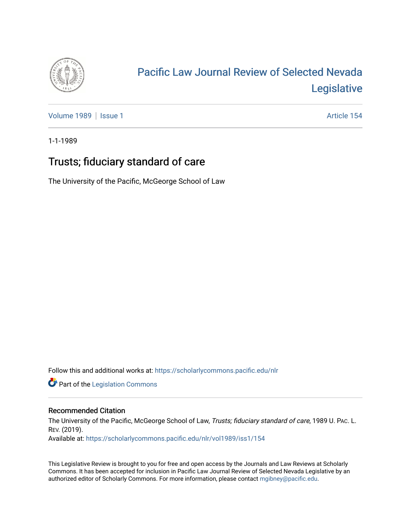

# [Pacific Law Journal Review of Selected Nevada](https://scholarlycommons.pacific.edu/nlr)  [Legislative](https://scholarlycommons.pacific.edu/nlr)

[Volume 1989](https://scholarlycommons.pacific.edu/nlr/vol1989) | [Issue 1](https://scholarlycommons.pacific.edu/nlr/vol1989/iss1) Article 154

1-1-1989

## Trusts; fiduciary standard of care

The University of the Pacific, McGeorge School of Law

Follow this and additional works at: [https://scholarlycommons.pacific.edu/nlr](https://scholarlycommons.pacific.edu/nlr?utm_source=scholarlycommons.pacific.edu%2Fnlr%2Fvol1989%2Fiss1%2F154&utm_medium=PDF&utm_campaign=PDFCoverPages) 

**Part of the [Legislation Commons](http://network.bepress.com/hgg/discipline/859?utm_source=scholarlycommons.pacific.edu%2Fnlr%2Fvol1989%2Fiss1%2F154&utm_medium=PDF&utm_campaign=PDFCoverPages)** 

### Recommended Citation

The University of the Pacific, McGeorge School of Law, Trusts; fiduciary standard of care, 1989 U. PAc. L. REV. (2019).

Available at: [https://scholarlycommons.pacific.edu/nlr/vol1989/iss1/154](https://scholarlycommons.pacific.edu/nlr/vol1989/iss1/154?utm_source=scholarlycommons.pacific.edu%2Fnlr%2Fvol1989%2Fiss1%2F154&utm_medium=PDF&utm_campaign=PDFCoverPages) 

This Legislative Review is brought to you for free and open access by the Journals and Law Reviews at Scholarly Commons. It has been accepted for inclusion in Pacific Law Journal Review of Selected Nevada Legislative by an authorized editor of Scholarly Commons. For more information, please contact [mgibney@pacific.edu](mailto:mgibney@pacific.edu).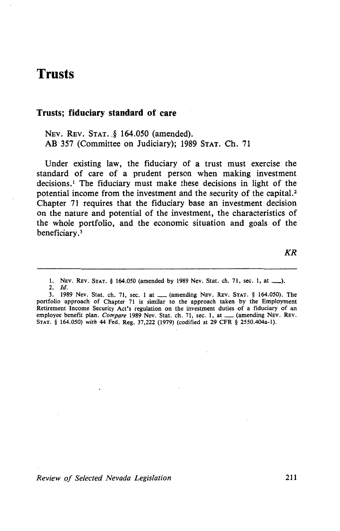### **Trusts**

#### **Trusts; fiduciary standard of care**

NEV. REV. STAT. § 164.050 (amended). AB 357 (Committee on Judiciary); 1989 STAT. Ch. 71

Under existing law, the fiduciary of a trust must exercise the standard of care of a prudent person when making investment decisions.<sup>1</sup> The fiduciary must make these decisions in light of the potential income from the investment and the security of the capital. $<sup>2</sup>$ </sup> Chapter 71 requires that the fiduciary base an investment decision on the nature and potential of the investment, the characteristics of the whole portfolio, and the economic situation and goals of the beneficiary. 3

*KR* 

1. NEv. REv. STAT. § 164.050 (amended by 1989 Nev. Stat. ch. 71, sec. 1, at\_). 2. *Id.* 

3. 1989 Nev. Stat. ch. 71, sec. 1 at \_\_ (amending NEV. REV. STAT. § 164.050). The portfolio approach of Chapter 71 is similar to the approach taken by the Employment Retirement Income Security Act's regulation on the investment duties of a fiduciary of an employee benefit plan. *Compare* 1989 Nev. Stat. ch. 71, sec. 1, at \_\_\_ (amending Nev. Rev. STAT. § 164.050) *with* 44 Fed. Reg. 37,222 (1979) (codified at 29 CFR § 2550.404a·l).

*Review of Selected Nevada Legislation* 211